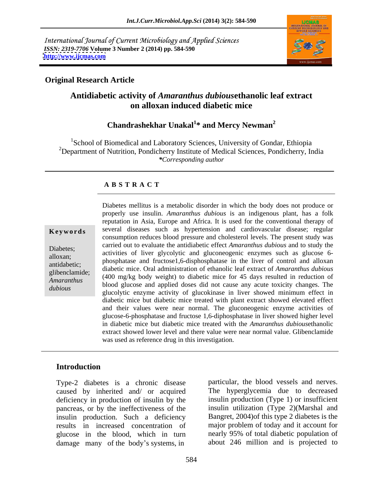International Journal of Current Microbiology and Applied Sciences *ISSN: 2319-7706* **Volume 3 Number 2 (2014) pp. 584-590 <http://www.ijcmas.com>**



# **Original Research Article**

# **Antidiabetic activity of** *Amaranthus dubious***ethanolic leaf extract on alloxan induced diabetic mice**

### **Chandrashekhar Unakal<sup>1</sup> \* and Mercy Newman<sup>2</sup>**

1School of Biomedical and Laboratory Sciences, University of Gondar, Ethiopia <sup>2</sup>Department of Nutrition, Pondicherry Institute of Medical Sciences, Pondicherry, India *\*Corresponding author*

### **A B S T R A C T**

**Keywords** several diseases such as hypertension and cardiovascular disease; regular Diabetes;<br>activities of liver glycolytic and gluconeogenic enzymes such as glucose 6-<br>ployer: alloxan;<br>
phosphatase and fructose1,6-disphosphatase in the liver of control and alloxan antidabetic; diabetic mice. Oral administration of ethanolic leaf extract of *Amaranthus dubious* glibenclamide;<br>
(400 mg/kg body weight) to diabetic mice for 45 days resulted in reduction of *Amaranthus* (400 mg/kg body weight) to diabelic line for 45 days resulted in reduction of blood glucose and applied doses did not cause any acute toxicity changes. The *dubious* blood glucose and applied doses the not cause any active toxicity changes. The glucolytic enzyme activity of glucokinase in liver showed minimum effect in Diabetes mellitus is a metabolic disorder in which the body does not produce or properly use insulin. *Amaranthus dubious* is an indigenous plant, has a folk reputation in Asia, Europe and Africa. It is used for the conventional therapy of consumption reduces blood pressure and cholesterol levels. The present study was carried out to evaluate the antidiabetic effect *Amaranthus dubious* and to study the diabetic mice but diabetic mice treated with plant extract showed elevated effect and their values were near normal. The gluconeogenic enzyme activities of glucose-6-phosphatase and fructose 1,6-diphosphatase in liver showed higher level in diabetic mice but diabetic mice treated with the *Amaranthus dubious*ethanolic extract showed lower level and there value were near normal value. Glibenclamide was used as reference drug in this investigation.

### **Introduction**

Type-2 diabetes is a chronic disease caused by inherited and/ or acquired deficiency in production of insulin by the pancreas, or by the ineffectiveness of the insulin production. Such a deficiency Bangret, 2004) of this type 2 diabetes is the results in increased concentration of major problem of today and it account for plucose in the blood, which in turn mearly 95% of total diabetic population of glucose in the blood, which in turn damage many of the body s systems, in about 246 million and is projected to

particular, the blood vessels and nerves. The hyperglycemia due to decreased insulin production (Type 1) or insufficient insulin utilization (Type 2)(Marshal and major problem of today and it account for nearly 95% of total diabetic population of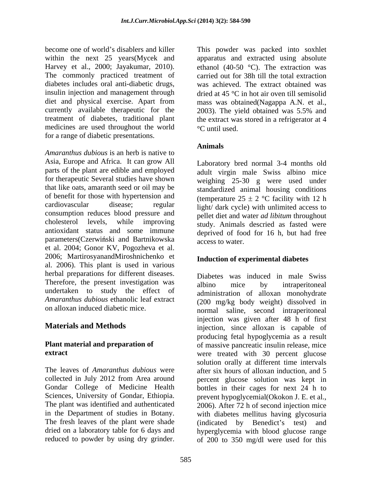become one of world's disablers and killer This powder was packed into soxhlet within the next 25 years(Mycek and apparatus and extracted using absolute Harvey et al., 2000; Jayakumar, 2010). ethanol (40-50 °C). The extraction was The commonly practiced treatment of diabetes includes oral anti-diabetic drugs, insulin injection and management through  $\cdot$  dried at 45 °C in hot air oven till semisolid diet and physical exercise. Apart from mass was obtained(Nagappa A.N. et al., currently available therapeutic for the 2003). The yield obtained was 5.5% and treatment of diabetes, traditional plant the extract was stored in a refrigerator at 4 treatment of diabetes, traditional plant the extract was stored in a refrigerator at 4 medicines are used throughout the world <sup>o</sup>C until used. for a range of diabetic presentations.

*Amaranthus dubious* is an herb is native to Asia, Europe and Africa. It can grow All parts of the plant are edible and employed for therapeutic Several studies have shown that like oats, amaranth seed or oil may be standardized animal housing conditions of benefit for those with hypertension and cardiovascular disease; regular light/ dark cycle) with unlimited access to consumption reduces blood pressure and cholesterol levels, while improving study. Animals descried as fasted were antioxidant status and some immune deprived of food for 16 h, but had free parameters(Czerwiński and Bartnikowska access to water. et al. 2004; Gonor KV, Pogozheva et al. 2006; MartirosyanandMiroshnichenko et al. 2006). This plant is used in various herbal preparations for different diseases. Therefore, the present investigation was albino mice by intraperitoneal undertaken to study the effect of *Amaranthus dubious* ethanolic leaf extract

The fresh leaves of the plant were shade<br>
dried on a laboratory table for 6 days and<br>
hyperplycemia with blood plucose range

585

carried out for 38h till the total extraction was achieved. The extract obtained was 2003). The yield obtained was 5.5% and C until used.

# **Animals**

Laboratory bred normal 3-4 months old adult virgin male Swiss albino mice weighing 25-30 g were used under (temperature  $25 \pm 2$  °C facility with 12 h pellet diet and water *ad libitum* throughout access to water.

### **Induction of experimental diabetes**

on alloxan induced diabetic mice. normal saline, second intraperitoneal **Materials and Methods injection**, since alloxan is capable of **Plant material and preparation of** of massive pancreatic insulin release, mice **extract**  were treated with 30 percent glucose The leaves of *Amaranthus dubious* were after six hours of alloxan induction, and 5 collected in July 2012 from Area around percent glucose solution was kept in Gondar College of Medicine Health bottles in their cages for next 24 h to Sciences, University of Gondar, Ethiopia. prevent hypoglycemial(Okokon J. E. et al., The plant was identified and authenticated 2006). After 72 h of second injection mice in the Department of studies in Botany. with diabetes mellitus having glycosuria dried on a laboratory table for 6 days and hyperglycemia with blood glucose range become one of word's disselate and the mean of the social into exchibit the mean of word's the social state of the social state of the social state of the social state of the social state of the social state of the social Diabetes was induced in male Swiss albino mice by intraperitoneal administration of alloxan monohydrate (200 mg/kg body weight) dissolved in injection was given after 48 h of first producing fetal hypoglycemia as a result solution orally at different time intervals (indicated by Benedict's test) and of 200 to 350 mg/dl were used for this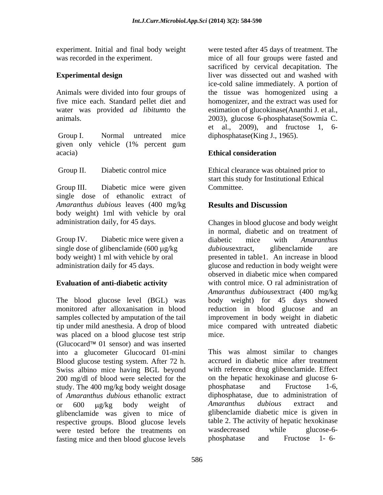Animals were divided into four groups of

given only vehicle (1% percent gum acacia) **Ethical consideration** 

Group III. Diabetic mice were given Committee. single dose of ethanolic extract of *Amaranthus dubious* leaves (400 mg/kg body weight) 1ml with vehicle by oral

was placed on a blood glucose test strip mice. (Glucocard<sup> $\text{m}$ </sup> 01 sensor) and was inserted into a glucometer Glucocard 01-mini Blood glucose testing system. After 72 h. Swiss albino mice having BGL beyond 200 mg/dl of blood were selected for the study. The 400 mg/kg body weight dosage bloss phosphatase and Fructose 1-6, of *Amaranthus dubious* ethanolic extract diphosphatas<br>or 600 ug/kg body weight of *Amaranthus* glibenclamide was given to mice of respective groups. Blood glucose levels table 2. The activity of hepatic hexokinase<br>were tested before the treatments on wasdecreased while glucose-6were tested before the treatments on was decreased while glucose-6-<br>fasting mice and then blood glucose levels bloosphatase and Fructose 1-6fasting mice and then blood glucose levels phosphatase and

experiment. Initial and final body weight were tested after 45 days of treatment. The was recorded in the experiment. mice of all four groups were fasted and **Experimental design Experimental design Experimental design Experimental design** five mice each. Standard pellet diet and homogenizer, and the extract was used for water was provided *ad libitum*to the estimation of glucokinase(Ananthi J. et al., animals. 2003), glucose 6-phosphatase(Sowmia C. Group I. Normal untreated mice diphosphatase(King J., 1965). sacrificed by cervical decapitation. The ice-cold saline immediately. A portion of the tissue was homogenized using a et al., 2009), and fructose 1, 6-

## **Ethical consideration**

 Group II. Diabetic control mice Ethical clearance was obtained prior to start this study for Institutional Ethical Committee.

# **Results and Discussion**

administration daily, for 45 days. Changes in blood glucose and body weight Group IV. Diabetic mice were given a diabetic mice with *Amaranthus* single dose of glibenclamide (600  $\mu$ g/kg *dubious* extract, glibenclamide are body weight) 1 ml with vehicle by oral presented in table1. An increase in blood administration daily for 45 days. glucose and reduction in body weight were **Evaluation of anti-diabetic activity** with control mice. O ral administration of The blood glucose level (BGL) was body weight) for 45 days showed monitored after alloxanisation in blood reduction in blood glucose and an samples collected by amputation of the tail improvement in body weight in diabetic tip under mild anesthesia. A drop of blood mice compared with untreated diabetic in normal, diabetic and on treatment of diabetic mice with *Amaranthus dubious*extract, glibenclamide are observed in diabetic mice when compared *Amaranthus dubious*extract (400 mg/kg mice.

or 600 µg/kg body weight of Amaranthus dubious extract and This was almost similar to changes accrued in diabetic mice after treatment with reference drug glibenclamide. Effect on the hepatic hexokinase and glucose 6 phosphatase and Fructose 1-6, diphosphatase, due to administration of *Amaranthus dubious* extract and glibenclamide diabetic mice is given in table 2. The activity of hepatic hexokinase wasdecreased while glucose-6 phosphatase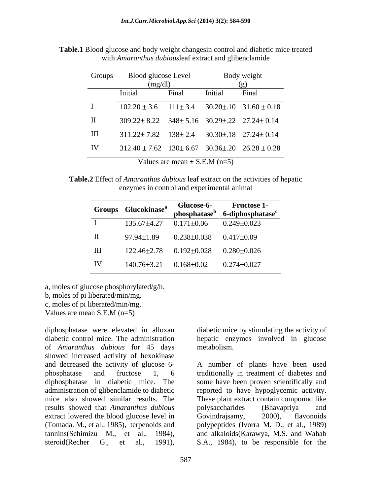| Groups       | Blood glucose Level                                                |                                   | Body weight              |                                                                |
|--------------|--------------------------------------------------------------------|-----------------------------------|--------------------------|----------------------------------------------------------------|
|              | (mg/dl)                                                            |                                   | $\left( \varrho \right)$ |                                                                |
|              | Initial                                                            | Final                             | Initial                  | Final                                                          |
|              |                                                                    |                                   |                          | $102.20 \pm 3.6$ $111 \pm 3.4$ $30.20 \pm 10$ $31.60 \pm 0.18$ |
| $\mathbf{I}$ | $309.22 \pm 8.22$ $348 \pm 5.16$ $30.29 \pm 0.22$ $27.24 \pm 0.14$ |                                   |                          |                                                                |
| $\rm III$    | $311.22 \pm 7.82$ $138 \pm 2.4$ $30.30 \pm 18$ $27.24 \pm 0.14$    |                                   |                          |                                                                |
| IV           | $312.40 \pm 7.62$ $130 \pm 6.67$ $30.36 \pm 20$ $26.28 \pm 0.28$   |                                   |                          |                                                                |
|              |                                                                    | Values are mean $\pm$ S.E.M (n=5) |                          |                                                                |

**Table.1** Blood glucose and body weight changesin control and diabetic mice treated with *Amaranthus dubious*leaf extract and glibenclamide

**Table.2** Effect of *Amaranthus dubious* leaf extract on the activities of hepatic enzymes in control and experimental animal

|         | Groups Glucokinase <sup>a</sup> |                     | Glucose-6-<br>phosphatase <sup>b</sup> 6-diphosphatase <sup>c</sup> |
|---------|---------------------------------|---------------------|---------------------------------------------------------------------|
|         | 135.67±4.27                     | $0.171 \pm 0.06$    | $0.249 {\pm} 0.023$                                                 |
| $\;$ II | $97.94 \pm 1.89$                | $0.238 {\pm} 0.038$ | $0.417{\pm}0.09$                                                    |
| III     | 122.46±2.78  0.192±0.028        |                     | $0.280 {\pm} 0.026$                                                 |
| IV      | 140.76±3.21                     | $0.168 \pm 0.02$    | $0.274 \pm 0.027$                                                   |

a, moles of glucose phosphorylated/g/h.

b, moles of pi liberated/min/mg.

c, moles of pi liberated/min/mg.

Values are mean S.E.M (n=5)

diphosphatase were elevated in alloxan diabetic mice by stimulating the activity of diabetic control mice. The administration hepatic enzymes involved in glucose of *Amaranthus dubious* for 45 days showed increased activity of hexokinase and decreased the activity of glucose 6-<br>A number of plants have been used phosphatase and fructose 1, 6 traditionally in treatment of diabetes and diphosphatase in diabetic mice. The some have been proven scientifically and administration of glibenclamide to diabetic reported to have hypoglycemic activity. mice also showed similar results. The These plant extract contain compound like results showed that *Amaranthus dubious* extract lowered the blood glucose level in Govindrajsamy, 2000), flavonoids (Tomada. M., et al., 1985), terpenoids and polypeptides (Ivorra M. D., et al., 1989) tannins(Schimizu M., et al., 1984), and alkaloids(Karawya, M.S. and Wahab (Tomada. M., et al., 1985), terpenoids and polypeptides (Ivorra M. D., et al., 1989)<br>tannins(Schimizu M., et al., 1984), and alkaloids(Karawya, M.S. and Wahab<br>steroid(Recher G., et al., 1991), S.A., 1984), to be responsibl

metabolism.

polysaccharides (Bhavapriya and Govindrajsamy, 2000), flavonoids S.A., 1984), to be responsible for the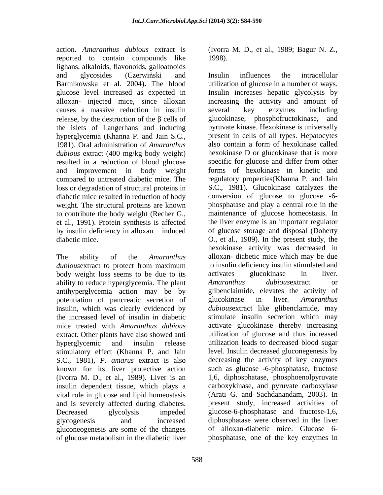action. *Amaranthus dubious* extract is (Ivorra M. D., et al., 1989; Bagur N. Z., reported to contain compounds like lighans, alkaloids, flavonoids, galloatnoids causes a massive reduction in insulin release, by the destruction of the  $\beta$  cells of glucokinase, phosphofructokinase, and hyperglycemia (Khanna P. and Jain S.C., present in cells of all types. Hepatocytes 1981) Oral administration of *Amaranthus* also contain a form of hexokinase called 1981). Oral administration of *Amaranthus dubious* extract (400 mg/kg body weight) resulted in a reduction of blood glucose and improvement in body weight loss or degradation of structural proteins in weight. The structural proteins are known et al., 1991). Protein synthesis is affected by insulin deficiency in alloxan  $-$  induced

body weight loss seems to be due to its activates glucokinase in liver. ability to reduce hyperglycemia. The plant Amaranthus dubious extract or antihyperglycemia action may be by potentiation of pancreatic secretion of glucokinase in liver. Amaranthus insulin, which was clearly evidenced by mice treated with *Amaranthus dubious* extract. Other plants have also showed anti stimulatory effect (Khanna P. and Jain S.C., 1981), *P. amarus* extract is also known for its liver protective action (Ivorra M. D., et al., 1989). Liver is an insulin dependent tissue, which plays a vital role in glucose and lipid homeostasis and is severely affected during diabetes. gluconeogenesis are some of the changes of glucose metabolism in the diabetic liver

1998).

and glycosides (Czerwiński and Insulin influences the intracellular Bartnikowska et al. 2004)**.** The blood utilization of glucose in a number of ways. glucose level increased as expected in Insulin increases hepatic glycolysis by alloxan- injected mice, since alloxan increasing the activity and amount of the islets of Langerhans and inducing pyruvate kinase. Hexokinase is universally compared to untreated diabetic mice. The regulatory properties(Khanna P. and Jain diabetic mice resulted in reduction of body conversion of glucose to glucose -6 to contribute the body weight (Recher G., maintenance of glucose homeostasis. In diabetic mice. O., et al., 1989). In the present study, the The ability of the *Amaranthus*  alloxan- diabetic mice which may be due *dubiousextract* to protect from maximum to insulin deficiency insulin stimulated and the increased level of insulin in diabetic stimulate insulin secretion which may hyperglycemic and insulin release utilization leads to decreased blood sugar Decreased glycolysis impeded glucose-6-phosphatase and fructose-1,6, glycogenesis and increased diphosphatase were observed in the liver Insulin influences the intracellular several key enzymes including glucokinase, phosphofructokinase, present in cells of all types. Hepatocytes also contain a form of hexokinase called hexokinase D or glucokinase that is more specific for glucose and differ from other forms of hexokinase in kinetic and S.C., 1981). Glucokinase catalyzes the phosphatase and play a central role in the the liver enzyme is an important regulator of glucose storage and disposal (Doherty hexokinase activity was decreased in to insulin deficiency insulin stimulated and activates glucokinase in liver. *Amaranthus dubious*extract or glibenclaimide, elevates the activity of glucokinase in liver*. Amaranthus dubious*extract like glibenclamide, may activate glucokinase thereby increasing utilization of glucose and thus increased level. Insulin decreased gluconegenesis by decreasing the activity of key enzymes such as glucose -6-phosphatase, fructose 1,6, diphosphatase, phosphoenolpyruvate carboxykinase, and pyruvate carboxylase (Arati G. and Sachdanandam, 2003). In present study, increased activities of of alloxan-diabetic mice. Glucose 6 phosphatase, one of the key enzymes in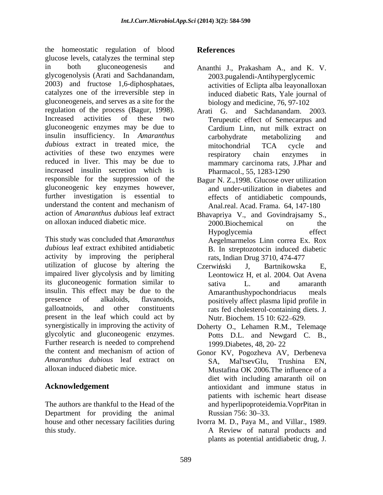the homeostatic regulation of blood glucose levels, catalyzes the terminal step in both gluconeogenesis and Ananthi J., Prakasham A., and K. V. glycogenolysis (Arati and Sachdanandam, 2003) and fructose 1,6-diphosphataes, catalyzes one of the irreversible step in gluconeogeneis, and serves as a site for the regulation of the process (Bagur, 1998). Increased activities of these two Terupeutic effect of Semecarpus and gluconeogenic enzymes may be due to insulin insufficiency. In *Amaranthus* carbohydrate metabolizing and *dubious* extract in treated mice, the mitochondrial TCA cycle and activities of these two enzymes were respiratory chain enzymes in reduced in liver. This may be due to increased insulin secretion which is responsible for the suppression of the gluconeogenic key enzymes however, further investigation is essential to understand the content and mechanism of Anal.real. Acad. Frama. 64, 147-180 action of *Amaranthus dubious* leaf extract Bhavapriya V., and Govindrajsamy S.,

This study was concluded that *Amaranthus dubious* leaf extract exhibited antidiabetic activity by improving the peripheral utilization of glucose by altering the Czerwiński J, Bartnikowska E, impaired liver glycolysis and by limiting its gluconeogenic formation similar to insulin. This effect may be due to the Amaranthushypochondriacus meals presence of alkaloids, flavanoids, positively affect plasma lipid profile in galloatnoids, and other constituents rats fed cholesterol-containing diets. J. present in the leaf which could act by synergistically in improving the activity of Doherty O., Lehamen R.M., Telemaqe glycolytic and gluconeogenic enzymes. Further research is needed to comprehend the content and mechanism of action of Gonor KV, Pogozheva AV, Derbeneva *Amaranthus dubious* leaf extract on SA. Mal'tsevGIu. Trushina EN. alloxan induced diabetic mice.

Department for providing the animal Russian 756: 30–33.

# **References**

- 2003.pugalendi-Antihyperglycemic activities of Eclipta alba leayonalloxan induced diabetic Rats, Yale journal of biology and medicine, 76, 97-102
- Arati G. and Sachdanandam. 2003. Cardium Linn, nut milk extract on carbohydrate metabolizing and mitochondrial TCA cycle and respiratory chain enzymes in mammary carcinoma rats, J.Phar and Pharmacol., 55, 1283-1290
- Bagur N. Z.,1998. Glucose over utilization and under-utilization in diabetes and effects of antidiabetic compounds, Anal.real. Acad. Frama. 64, 147-180
- on alloxan induced diabetic mice. 2000.Biochemical on the 2000.Biochemical on the Hypoglycemia effect Aegelmarmelos Linn correa Ex. Rox B. In streptozotocin induced diabetic rats, Indian Drug 3710, 474-477
	- Czerwiński J, Bartnikowska E, Leontowicz H, et al. 2004. Oat Avena sativa L. and amaranth Amaranthushypochondriacus Nutr. Biochem. 15 10: 622–629.
	- Potts D.L. and Newgard C. B., 1999.Diabetes, 48, 20- 22
- **Acknowledgement**  antioxidant and immune status in The authors are thankful to the Head of the and hyperlipoproteidemia.VoprPitan in SA, Mal'tsevGIu, Trushina EN, Mustafina OK 2006.The influence of a diet with including amaranth oil on patients with ischemic heart disease Russian 756: 30–33.
- house and other necessary facilities during Ivorra M. D., Paya M., and Villar., 1989. this study. A Review of natural products and plants as potential antidiabetic drug, J.